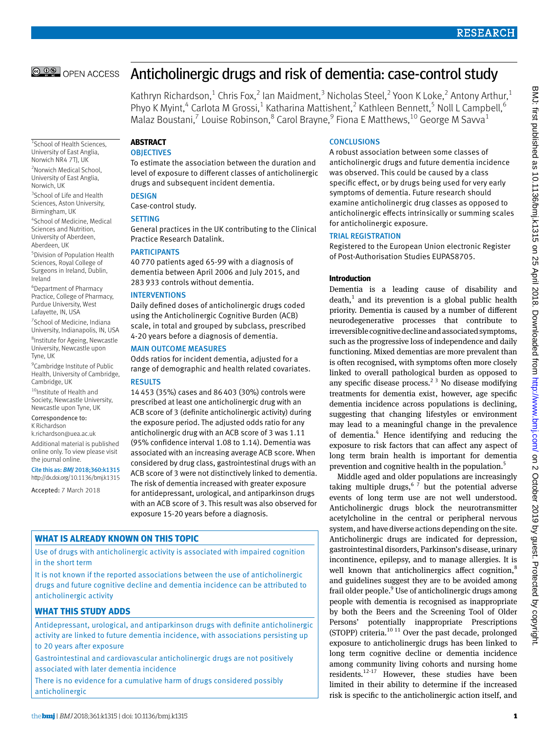© 0 © OPEN ACCESS

# Anticholinergic drugs and risk of dementia: case-control study

Kathryn Richardson,<sup>1</sup> Chris Fox,<sup>2</sup> lan Maidment,<sup>3</sup> Nicholas Steel,<sup>2</sup> Yoon K Loke,<sup>2</sup> Antony Arthur,<sup>1</sup> Phyo K Myint,<sup>4</sup> Carlota M Grossi,<sup>1</sup> Katharina Mattishent,<sup>2</sup> Kathleen Bennett,<sup>5</sup> Noll L Campbell,<sup>6</sup> Malaz Boustani,<sup>7</sup> Louise Robinson,<sup>8</sup> Carol Brayne,<sup>9</sup> Fiona E Matthews,<sup>10</sup> George M Savva<sup>1</sup>

1 School of Health Sciences, University of East Anglia, Norwich NR4 7TJ, UK 2 Norwich Medical School, University of East Anglia, Norwich, UK

<sup>3</sup> School of Life and Health Sciences, Aston University, Birmingham, UK

4 School of Medicine, Medical Sciences and Nutrition, University of Aberdeen, Aberdeen, UK

5 Division of Population Health Sciences, Royal College of Surgeons in Ireland, Dublin, Ireland

6 Department of Pharmacy Practice, College of Pharmacy, Purdue University, West Lafayette, IN, USA

7 School of Medicine, Indiana University, Indianapolis, IN, USA 8 Institute for Ageing, Newcastle University, Newcastle upon Tyne, UK

<sup>9</sup> Cambridge Institute of Public Health, University of Cambridge, Cambridge, UK

 $10$ Institute of Health and Society, Newcastle University, Newcastle upon Tyne, UK

Correspondence to: K Richardson

[k.richardson@uea.ac.uk](mailto:k.richardson@uea.ac.uk)

Additional material is published online only. To view please visit the journal online.

Cite this as: *BMJ* 2018;360:k1315 http://dx.doi.org/10.1136/bmj.k1315

Accepted: 7 March 2018

## **ABSTRACT**

**OBIECTIVES** 

To estimate the association between the duration and level of exposure to different classes of anticholinergic drugs and subsequent incident dementia.

**DESIGN** 

Case-control study.

## SETTING

General practices in the UK contributing to the Clinical Practice Research Datalink.

#### PARTICIPANTS

40 770 patients aged 65-99 with a diagnosis of dementia between April 2006 and July 2015, and 283 933 controls without dementia.

#### INTERVENTIONS

Daily defined doses of anticholinergic drugs coded using the Anticholinergic Cognitive Burden (ACB) scale, in total and grouped by subclass, prescribed 4-20 years before a diagnosis of dementia.

## MAIN OUTCOME MEASURES

Odds ratios for incident dementia, adjusted for a range of demographic and health related covariates. **RESULTS** 

14453 (35%) cases and 86403 (30%) controls were prescribed at least one anticholinergic drug with an ACB score of 3 (definite anticholinergic activity) during the exposure period. The adjusted odds ratio for any anticholinergic drug with an ACB score of 3 was 1.11 (95% confidence interval 1.08 to 1.14). Dementia was associated with an increasing average ACB score. When considered by drug class, gastrointestinal drugs with an ACB score of 3 were not distinctively linked to dementia. The risk of dementia increased with greater exposure for antidepressant, urological, and antiparkinson drugs with an ACB score of 3. This result was also observed for exposure 15-20 years before a diagnosis.

## **What is already known on this topic**

Use of drugs with anticholinergic activity is associated with impaired cognition in the short term

It is not known if the reported associations between the use of anticholinergic drugs and future cognitive decline and dementia incidence can be attributed to anticholinergic activity

## **What this study adds**

Antidepressant, urological, and antiparkinson drugs with definite anticholinergic activity are linked to future dementia incidence, with associations persisting up to 20 years after exposure

Gastrointestinal and cardiovascular anticholinergic drugs are not positively associated with later dementia incidence

There is no evidence for a cumulative harm of drugs considered possibly anticholinergic

## **CONCLUSIONS**

A robust association between some classes of anticholinergic drugs and future dementia incidence was observed. This could be caused by a class specific effect, or by drugs being used for very early symptoms of dementia. Future research should examine anticholinergic drug classes as opposed to anticholinergic effects intrinsically or summing scales for anticholinergic exposure.

## TRIAL REGISTRATION

Registered to the European Union electronic Register of Post-Authorisation Studies EUPAS8705.

## **Introduction**

Dementia is a leading cause of disability and  $death, 1$  and its prevention is a global public health priority. Dementia is caused by a number of different neurodegenerative processes that contribute to irreversible cognitive decline and associated symptoms, such as the progressive loss of independence and daily functioning. Mixed dementias are more prevalent than is often recognised, with symptoms often more closely linked to overall pathological burden as opposed to any specific disease process.<sup>2 3</sup> No disease modifying treatments for dementia exist, however, age specific dementia incidence across populations is declining, suggesting that changing lifestyles or environment may lead to a meaningful change in the prevalence of dementia.<sup>4</sup> Hence identifying and reducing the exposure to risk factors that can affect any aspect of long term brain health is important for dementia prevention and cognitive health in the population.<sup>5</sup>

Middle aged and older populations are increasingly taking multiple drugs,  $67$  but the potential adverse events of long term use are not well understood. Anticholinergic drugs block the neurotransmitter acetylcholine in the central or peripheral nervous system, and have diverse actions depending on the site. Anticholinergic drugs are indicated for depression, gastrointestinal disorders, Parkinson's disease, urinary incontinence, epilepsy, and to manage allergies. It is well known that anticholinergics affect cognition, $8$ and guidelines suggest they are to be avoided among frail older people.<sup>9</sup> Use of anticholinergic drugs among people with dementia is recognised as inappropriate by both the Beers and the Screening Tool of Older Persons' potentially inappropriate Prescriptions (STOPP) criteria. $10^{11}$  Over the past decade, prolonged exposure to anticholinergic drugs has been linked to long term cognitive decline or dementia incidence among community living cohorts and nursing home residents.12-17 However, these studies have been limited in their ability to determine if the increased risk is specific to the anticholinergic action itself, and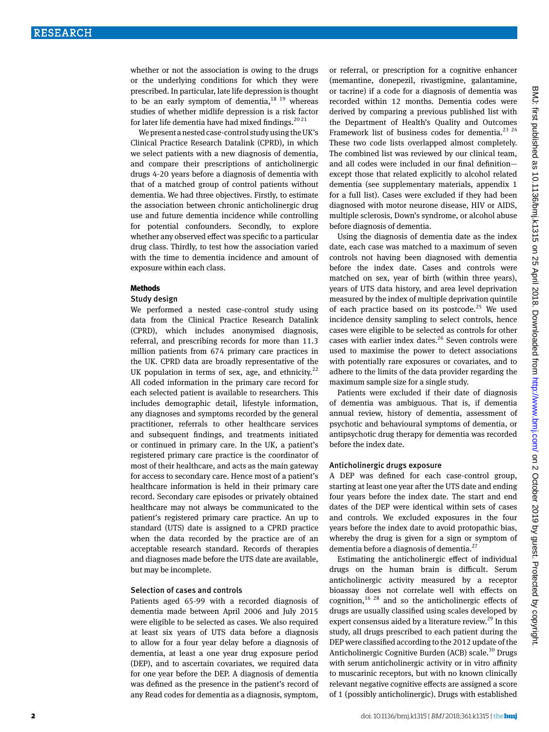whether or not the association is owing to the drugs or the underlying conditions for which they were prescribed. In particular, late life depression is thought to be an early symptom of dementia,  $18^{19}$  whereas studies of whether midlife depression is a risk factor for later life dementia have had mixed findings.<sup>20 21</sup>

We present a nested case-control study using the UK's Clinical Practice Research Datalink (CPRD), in which we select patients with a new diagnosis of dementia, and compare their prescriptions of anticholinergic drugs 4-20 years before a diagnosis of dementia with that of a matched group of control patients without dementia. We had three objectives. Firstly, to estimate the association between chronic anticholinergic drug use and future dementia incidence while controlling for potential confounders. Secondly, to explore whether any observed effect was specific to a particular drug class. Thirdly, to test how the association varied with the time to dementia incidence and amount of exposure within each class.

#### **Methods**

#### Study design

We performed a nested case-control study using data from the Clinical Practice Research Datalink (CPRD), which includes anonymised diagnosis, referral, and prescribing records for more than 11.3 million patients from 674 primary care practices in the UK. CPRD data are broadly representative of the UK population in terms of sex, age, and ethnicity.<sup>22</sup> All coded information in the primary care record for each selected patient is available to researchers. This includes demographic detail, lifestyle information, any diagnoses and symptoms recorded by the general practitioner, referrals to other healthcare services and subsequent findings, and treatments initiated or continued in primary care. In the UK, a patient's registered primary care practice is the coordinator of most of their healthcare, and acts as the main gateway for access to secondary care. Hence most of a patient's healthcare information is held in their primary care record. Secondary care episodes or privately obtained healthcare may not always be communicated to the patient's registered primary care practice. An up to standard (UTS) date is assigned to a CPRD practice when the data recorded by the practice are of an acceptable research standard. Records of therapies and diagnoses made before the UTS date are available, but may be incomplete.

#### Selection of cases and controls

Patients aged 65-99 with a recorded diagnosis of dementia made between April 2006 and July 2015 were eligible to be selected as cases. We also required at least six years of UTS data before a diagnosis to allow for a four year delay before a diagnosis of dementia, at least a one year drug exposure period (DEP), and to ascertain covariates, we required data for one year before the DEP. A diagnosis of dementia was defined as the presence in the patient's record of any Read codes for dementia as a diagnosis, symptom,

or referral, or prescription for a cognitive enhancer (memantine, donepezil, rivastigmine, galantamine, or tacrine) if a code for a diagnosis of dementia was recorded within 12 months. Dementia codes were derived by comparing a previous published list with the Department of Health's Quality and Outcomes Framework list of business codes for dementia.<sup>23 24</sup> These two code lists overlapped almost completely. The combined list was reviewed by our clinical team, and all codes were included in our final definition except those that related explicitly to alcohol related dementia (see supplementary materials, appendix 1 for a full list). Cases were excluded if they had been diagnosed with motor neurone disease, HIV or AIDS, multiple sclerosis, Down's syndrome, or alcohol abuse before diagnosis of dementia.

Using the diagnosis of dementia date as the index date, each case was matched to a maximum of seven controls not having been diagnosed with dementia before the index date. Cases and controls were matched on sex, year of birth (within three years), years of UTS data history, and area level deprivation measured by the index of multiple deprivation quintile of each practice based on its postcode. $25$  We used incidence density sampling to select controls, hence cases were eligible to be selected as controls for other cases with earlier index dates.<sup>26</sup> Seven controls were used to maximise the power to detect associations with potentially rare exposures or covariates, and to adhere to the limits of the data provider regarding the maximum sample size for a single study.

Patients were excluded if their date of diagnosis of dementia was ambiguous. That is, if dementia annual review, history of dementia, assessment of psychotic and behavioural symptoms of dementia, or antipsychotic drug therapy for dementia was recorded before the index date.

#### Anticholinergic drugs exposure

A DEP was defined for each case-control group, starting at least one year after the UTS date and ending four years before the index date. The start and end dates of the DEP were identical within sets of cases and controls. We excluded exposures in the four years before the index date to avoid protopathic bias, whereby the drug is given for a sign or symptom of dementia before a diagnosis of dementia.27

Estimating the anticholinergic effect of individual drugs on the human brain is difficult. Serum anticholinergic activity measured by a receptor bioassay does not correlate well with effects on cognition,  $16 \times 28$  and so the anticholinergic effects of drugs are usually classified using scales developed by expert consensus aided by a literature review.<sup>29</sup> In this study, all drugs prescribed to each patient during the DEP were classified according to the 2012 update of the Anticholinergic Cognitive Burden (ACB) scale.<sup>30</sup> Drugs with serum anticholinergic activity or in vitro affinity to muscarinic receptors, but with no known clinically relevant negative cognitive effects are assigned a score of 1 (possibly anticholinergic). Drugs with established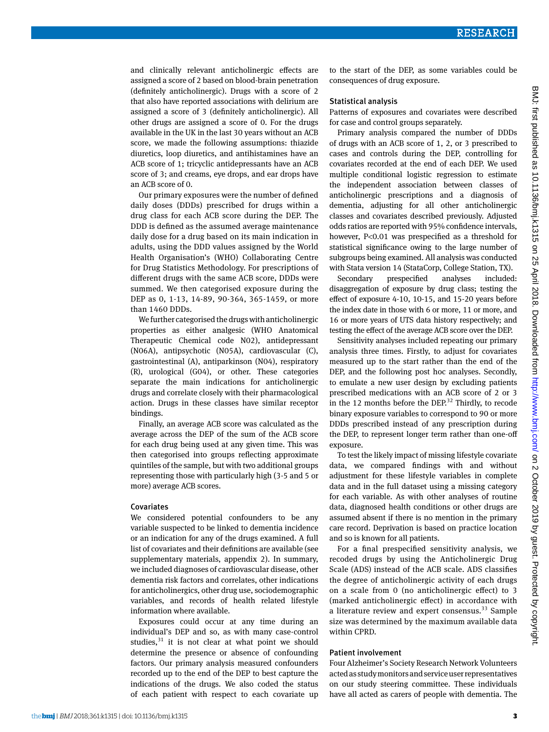and clinically relevant anticholinergic effects are assigned a score of 2 based on blood-brain penetration (definitely anticholinergic). Drugs with a score of 2 that also have reported associations with delirium are assigned a score of 3 (definitely anticholinergic). All other drugs are assigned a score of 0. For the drugs available in the UK in the last 30 years without an ACB score, we made the following assumptions: thiazide diuretics, loop diuretics, and antihistamines have an ACB score of 1; tricyclic antidepressants have an ACB score of 3; and creams, eye drops, and ear drops have an ACB score of 0.

Our primary exposures were the number of defined daily doses (DDDs) prescribed for drugs within a drug class for each ACB score during the DEP. The DDD is defined as the assumed average maintenance daily dose for a drug based on its main indication in adults, using the DDD values assigned by the World Health Organisation's (WHO) Collaborating Centre for Drug Statistics Methodology. For prescriptions of different drugs with the same ACB score, DDDs were summed. We then categorised exposure during the DEP as 0, 1-13, 14-89, 90-364, 365-1459, or more than 1460 DDDs.

We further categorised the drugs with anticholinergic properties as either analgesic (WHO Anatomical Therapeutic Chemical code N02), antidepressant (N06A), antipsychotic (N05A), cardiovascular (C), gastrointestinal (A), antiparkinson (N04), respiratory (R), urological (G04), or other. These categories separate the main indications for anticholinergic drugs and correlate closely with their pharmacological action. Drugs in these classes have similar receptor bindings.

Finally, an average ACB score was calculated as the average across the DEP of the sum of the ACB score for each drug being used at any given time. This was then categorised into groups reflecting approximate quintiles of the sample, but with two additional groups representing those with particularly high (3-5 and 5 or more) average ACB scores.

#### Covariates

We considered potential confounders to be any variable suspected to be linked to dementia incidence or an indication for any of the drugs examined. A full list of covariates and their definitions are available (see supplementary materials, appendix 2). In summary, we included diagnoses of cardiovascular disease, other dementia risk factors and correlates, other indications for anticholinergics, other drug use, sociodemographic variables, and records of health related lifestyle information where available.

Exposures could occur at any time during an individual's DEP and so, as with many case-control studies, $31$  it is not clear at what point we should determine the presence or absence of confounding factors. Our primary analysis measured confounders recorded up to the end of the DEP to best capture the indications of the drugs. We also coded the status of each patient with respect to each covariate up

to the start of the DEP, as some variables could be consequences of drug exposure.

#### Statistical analysis

Patterns of exposures and covariates were described for case and control groups separately.

Primary analysis compared the number of DDDs of drugs with an ACB score of 1, 2, or 3 prescribed to cases and controls during the DEP, controlling for covariates recorded at the end of each DEP. We used multiple conditional logistic regression to estimate the independent association between classes of anticholinergic prescriptions and a diagnosis of dementia, adjusting for all other anticholinergic classes and covariates described previously. Adjusted odds ratios are reported with 95% confidence intervals, however, P<0.01 was prespecified as a threshold for statistical significance owing to the large number of subgroups being examined. All analysis was conducted with Stata version 14 (StataCorp, College Station, TX).

Secondary prespecified analyses included: disaggregation of exposure by drug class; testing the effect of exposure 4-10, 10-15, and 15-20 years before the index date in those with 6 or more, 11 or more, and 16 or more years of UTS data history respectively; and testing the effect of the average ACB score over the DEP.

Sensitivity analyses included repeating our primary analysis three times. Firstly, to adjust for covariates measured up to the start rather than the end of the DEP, and the following post hoc analyses. Secondly, to emulate a new user design by excluding patients prescribed medications with an ACB score of 2 or 3 in the 12 months before the DEP.<sup>32</sup> Thirdly, to recode binary exposure variables to correspond to 90 or more DDDs prescribed instead of any prescription during the DEP, to represent longer term rather than one-off exposure.

To test the likely impact of missing lifestyle covariate data, we compared findings with and without adjustment for these lifestyle variables in complete data and in the full dataset using a missing category for each variable. As with other analyses of routine data, diagnosed health conditions or other drugs are assumed absent if there is no mention in the primary care record. Deprivation is based on practice location and so is known for all patients.

For a final prespecified sensitivity analysis, we recoded drugs by using the Anticholinergic Drug Scale (ADS) instead of the ACB scale. ADS classifies the degree of anticholinergic activity of each drugs on a scale from 0 (no anticholinergic effect) to 3 (marked anticholinergic effect) in accordance with a literature review and expert consensus.<sup>33</sup> Sample size was determined by the maximum available data within CPRD.

#### Patient involvement

Four Alzheimer's Society Research Network Volunteers acted as study monitors and service user representatives on our study steering committee. These individuals have all acted as carers of people with dementia. The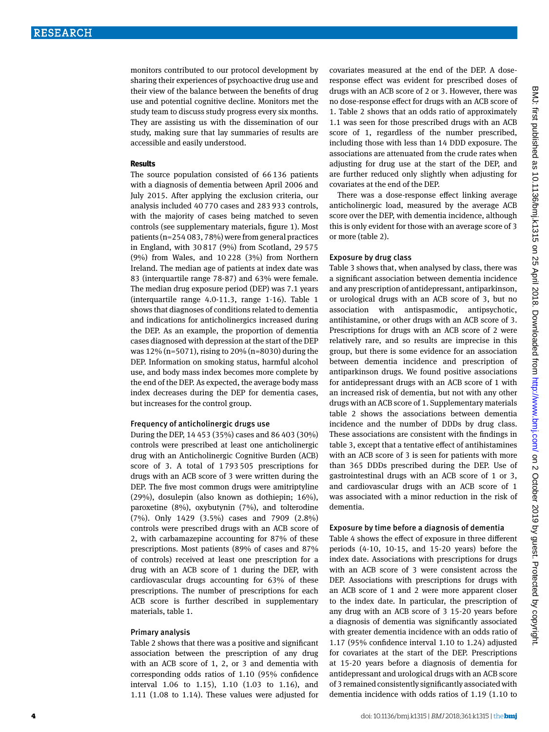monitors contributed to our protocol development by sharing their experiences of psychoactive drug use and their view of the balance between the benefits of drug use and potential cognitive decline. Monitors met the study team to discuss study progress every six months. They are assisting us with the dissemination of our study, making sure that lay summaries of results are accessible and easily understood.

#### **Results**

The source population consisted of 66 136 patients with a diagnosis of dementia between April 2006 and July 2015. After applying the exclusion criteria, our analysis included 40 770 cases and 283 933 controls, with the majority of cases being matched to seven controls (see supplementary materials, figure 1). Most patients (n=254 083, 78%) were from general practices in England, with 30 817 (9%) from Scotland, 29 575 (9%) from Wales, and 10 228 (3%) from Northern Ireland. The median age of patients at index date was 83 (interquartile range 78-87) and 63% were female. The median drug exposure period (DEP) was 7.1 years (interquartile range 4.0-11.3, range 1-16). Table 1 shows that diagnoses of conditions related to dementia and indications for anticholinergics increased during the DEP. As an example, the proportion of dementia cases diagnosed with depression at the start of the DEP was 12% (n=5071), rising to 20% (n=8030) during the DEP. Information on smoking status, harmful alcohol use, and body mass index becomes more complete by the end of the DEP. As expected, the average body mass index decreases during the DEP for dementia cases, but increases for the control group.

## Frequency of anticholinergic drugs use

During the DEP, 14 453 (35%) cases and 86 403 (30%) controls were prescribed at least one anticholinergic drug with an Anticholinergic Cognitive Burden (ACB) score of 3. A total of 1 793 505 prescriptions for drugs with an ACB score of 3 were written during the DEP. The five most common drugs were amitriptyline (29%), dosulepin (also known as dothiepin; 16%), paroxetine (8%), oxybutynin (7%), and tolterodine (7%). Only 1429 (3.5%) cases and 7909 (2.8%) controls were prescribed drugs with an ACB score of 2, with carbamazepine accounting for 87% of these prescriptions. Most patients (89% of cases and 87% of controls) received at least one prescription for a drug with an ACB score of 1 during the DEP, with cardiovascular drugs accounting for 63% of these prescriptions. The number of prescriptions for each ACB score is further described in supplementary materials, table 1.

#### Primary analysis

Table 2 shows that there was a positive and significant association between the prescription of any drug with an ACB score of 1, 2, or 3 and dementia with corresponding odds ratios of 1.10 (95% confidence interval 1.06 to 1.15), 1.10 (1.03 to 1.16), and 1.11 (1.08 to 1.14). These values were adjusted for

covariates measured at the end of the DEP. A doseresponse effect was evident for prescribed doses of drugs with an ACB score of 2 or 3. However, there was no dose-response effect for drugs with an ACB score of 1. Table 2 shows that an odds ratio of approximately 1.1 was seen for those prescribed drugs with an ACB score of 1, regardless of the number prescribed, including those with less than 14 DDD exposure. The associations are attenuated from the crude rates when adjusting for drug use at the start of the DEP, and are further reduced only slightly when adjusting for covariates at the end of the DEP.

There was a dose-response effect linking average anticholinergic load, measured by the average ACB score over the DEP, with dementia incidence, although this is only evident for those with an average score of 3 or more (table 2).

#### Exposure by drug class

Table 3 shows that, when analysed by class, there was a significant association between dementia incidence and any prescription of antidepressant, antiparkinson, or urological drugs with an ACB score of 3, but no association with antispasmodic, antipsychotic, antihistamine, or other drugs with an ACB score of 3. Prescriptions for drugs with an ACB score of 2 were relatively rare, and so results are imprecise in this group, but there is some evidence for an association between dementia incidence and prescription of antiparkinson drugs. We found positive associations for antidepressant drugs with an ACB score of 1 with an increased risk of dementia, but not with any other drugs with an ACB score of 1. Supplementary materials table 2 shows the associations between dementia incidence and the number of DDDs by drug class. These associations are consistent with the findings in table 3, except that a tentative effect of antihistamines with an ACB score of 3 is seen for patients with more than 365 DDDs prescribed during the DEP. Use of gastrointestinal drugs with an ACB score of 1 or 3, and cardiovascular drugs with an ACB score of 1 was associated with a minor reduction in the risk of dementia.

## Exposure by time before a diagnosis of dementia

Table 4 shows the effect of exposure in three different periods (4-10, 10-15, and 15-20 years) before the index date. Associations with prescriptions for drugs with an ACB score of 3 were consistent across the DEP. Associations with prescriptions for drugs with an ACB score of 1 and 2 were more apparent closer to the index date. In particular, the prescription of any drug with an ACB score of 3 15-20 years before a diagnosis of dementia was significantly associated with greater dementia incidence with an odds ratio of 1.17 (95% confidence interval 1.10 to 1.24) adjusted for covariates at the start of the DEP. Prescriptions at 15-20 years before a diagnosis of dementia for antidepressant and urological drugs with an ACB score of 3 remained consistently significantly associated with dementia incidence with odds ratios of 1.19 (1.10 to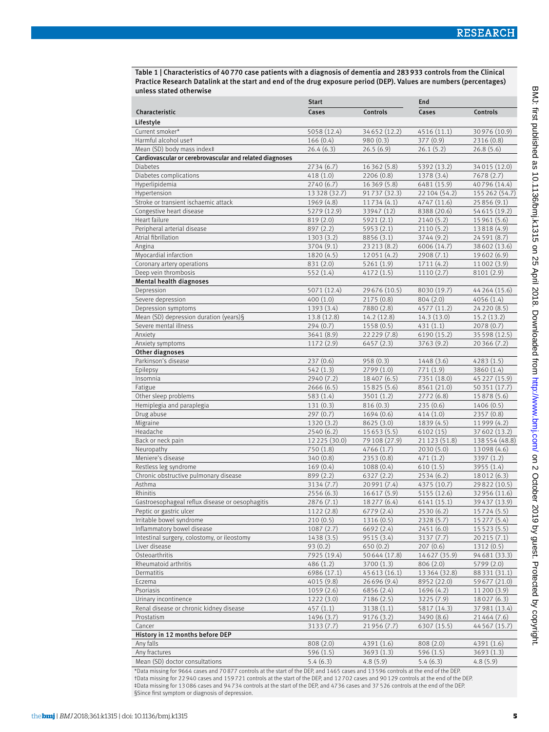Table 1 | Characteristics of 40770 case patients with a diagnosis of dementia and 283933 controls from the Clinical Practice Research Datalink at the start and end of the drug exposure period (DEP). Values are numbers (percentages) unless stated otherwise

|                                                         | <b>Start</b>            |                           | End                       |                             |  |
|---------------------------------------------------------|-------------------------|---------------------------|---------------------------|-----------------------------|--|
| Characteristic                                          | Cases                   | Controls                  | Cases                     | Controls                    |  |
| Lifestyle                                               |                         |                           |                           |                             |  |
| Current smoker*                                         | 5058 (12.4)             | 34652 (12.2)              | 4516 (11.1)               | 30 976 (10.9)               |  |
| Harmful alcohol uset                                    | 166(0.4)                | 980 (0.3)                 | 377(0.9)                  | 2316 (0.8)                  |  |
| Mean (SD) body mass index‡                              | 26.4(6.3)               | 26.5(6.9)                 | 26.1(5.2)                 | 26.8(5.6)                   |  |
| Cardiovascular or cerebrovascular and related diagnoses |                         |                           |                           |                             |  |
| <b>Diabetes</b>                                         | 2734 (6.7)              | 16362 (5.8)               | 5392 (13.2)               | 34015 (12.0)                |  |
| Diabetes complications                                  | 418(1.0)                | 2206(0.8)                 | 1378 (3.4)                | 7678 (2.7)                  |  |
| Hyperlipidemia                                          | 2740 (6.7)              | 16369 (5.8)               | 6481 (15.9)               | 40796 (14.4)                |  |
| Hypertension                                            | 13 3 28 (3 2.7)         | 91737 (32.3)              | 22 104 (54.2)             | 155 262 (54.7)              |  |
| Stroke or transient ischaemic attack                    | 1969 (4.8)              | 11734 (4.1)               | 4747 (11.6)               | 25856(9.1)                  |  |
| Congestive heart disease                                | 5279 (12.9)             | 33947 (12)                | 8388 (20.6)               | 54615 (19.2)                |  |
| Heart failure                                           | 819 (2.0)               | 5921 (2.1)                | 2140 (5.2)                | 15 961 (5.6)                |  |
| Peripheral arterial disease                             | 897 (2.2)               | 5953 (2.1)                | 2110 (5.2)                | 13818 (4.9)                 |  |
| Atrial fibrillation                                     | 1303 (3.2)              | 8856 (3.1)                | 3744 (9.2)                | 24 5 91 (8.7)               |  |
| Angina                                                  | 3704 (9.1)              | 23 213 (8.2)              | 6006 (14.7)               | 38 602 (13.6)               |  |
| Myocardial infarction                                   | 1820 (4.5)              | 12051 (4.2)               | 2908 (7.1)                | 19602 (6.9)                 |  |
| Coronary artery operations                              | 831 (2.0)               | 5261 (1.9)                | 1711 (4.2)                | 11002 (3.9)                 |  |
| Deep vein thrombosis<br>Mental health diagnoses         | 552 (1.4)               | 4172(1.5)                 | 1110(2.7)                 | 8101 (2.9)                  |  |
| Depression                                              | 5071 (12.4)             | 29 676 (10.5)             | 8030 (19.7)               | 44 264 (15.6)               |  |
| Severe depression                                       | 400(1.0)                | 2175(0.8)                 | 804(2.0)                  | 4056 (1.4)                  |  |
| Depression symptoms                                     | 1393 (3.4)              | 7880 (2.8)                | 4577 (11.2)               | 24 2 20 (8.5)               |  |
| Mean (SD) depression duration (years) §                 | 13.8 (12.8)             | 14.2 (12.8)               | 14.3 (13.0)               | 15.2(13.2)                  |  |
| Severe mental illness                                   | 294(0.7)                | 1558 (0.5)                | 431(1.1)                  | 2078 (0.7)                  |  |
| Anxiety                                                 | 3641 (8.9)              | 22 229 (7.8)              | 6190 (15.2)               | 35 5 98 (12.5)              |  |
| Anxiety symptoms                                        | 1172(2.9)               | 6457(2.3)                 | 3763 (9.2)                | 20 366 (7.2)                |  |
| Other diagnoses                                         |                         |                           |                           |                             |  |
| Parkinson's disease                                     | 237(0.6)                | 958(0.3)                  | 1448 (3.6)                | 4283(1.5)                   |  |
| Epilepsy                                                | 542(1.3)                | 2799 (1.0)                | 771 (1.9)                 | 3860 (1.4)                  |  |
| Insomnia                                                | 2940 (7.2)              | 18407 (6.5)               | 7351 (18.0)               | 45 227 (15.9)               |  |
| Fatigue                                                 | 2666(6.5)               | 15825 (5.6)               | 8561 (21.0)               | 50351 (17.7)                |  |
| Other sleep problems                                    | 583 (1.4)               | 3501 (1.2)                | 2772 (6.8)                | 15878 (5.6)                 |  |
| Hemiplegia and paraplegia                               | 131(0.3)                | 816(0.3)                  | 235(0.6)                  | 1406 (0.5)                  |  |
| Drug abuse                                              | 297(0.7)                | 1694 (0.6)                | 414(1.0)                  | 2357 (0.8)                  |  |
| Migraine                                                | 1320 (3.2)              | 8625 (3.0)                | 1839 (4.5)                | 11999 (4.2)                 |  |
| Headache                                                | 2540(6.2)               | 15653(5.5)                | 6102 (15)                 | 37 602 (13.2)               |  |
| Back or neck pain                                       | 12 2 2 5 (30.0)         | 79 108 (27.9)             | 21 123 (51.8)             | 138554 (48.8)               |  |
| Neuropathy                                              | 750 (1.8)               | 4766 (1.7)                | 2030 (5.0)                | 13098 (4.6)                 |  |
| Meniere's disease                                       | 340(0.8)                | 2353 (0.8)                | 471(1.2)                  | 3397 (1.2)                  |  |
| Restless leg syndrome                                   | 169(0.4)                | 1088(0.4)                 | 610(1.5)                  | 3955 (1.4)                  |  |
| Chronic obstructive pulmonary disease<br>Asthma         | 899 (2.2)<br>3134 (7.7) | 6327 (2.2)<br>20991 (7.4) | 2534 (6.2)<br>4375 (10.7) | 18012 (6.3)<br>29822 (10.5) |  |
| Rhinitis                                                | 2556 (6.3)              | 16617 (5.9)               | 5155 (12.6)               | 32956 (11.6)                |  |
| Gastroesophageal reflux disease or oesophagitis         | 2876 (7.1)              | 18 277 (6.4)              | 6141 (15.1)               | 39437 (13.9)                |  |
| Peptic or gastric ulcer                                 | 1122 (2.8)              | 6779 (2.4)                | 2530 (6.2)                | 15724 (5.5)                 |  |
| Irritable bowel syndrome                                | 210(0.5)                | 1316 (0.5)                | 2328 (5.7)                | 15 277 (5.4)                |  |
| Inflammatory bowel disease                              | 1087(2.7)               | 6692 (2.4)                | 2451 (6.0)                | 15 5 2 3 (5.5)              |  |
| Intestinal surgery, colostomy, or ileostomy             | 1438 (3.5)              | 9515 (3.4)                | 3137 (7.7)                | 20215 (7.1)                 |  |
| Liver disease                                           | 93(0.2)                 | 650(0.2)                  | 207(0.6)                  | 1312(0.5)                   |  |
| Osteoarthritis                                          | 7925 (19.4)             | 50644 (17.8)              | 14627 (35.9)              | 94 681 (33.3)               |  |
| Rheumatoid arthritis                                    | 486 (1.2)               | 3700 (1.3)                | 806 (2.0)                 | 5799 (2.0)                  |  |
| Dermatitis                                              | 6986 (17.1)             | 45 613 (16.1)             | 13364 (32.8)              | 88 331 (31.1)               |  |
| Eczema                                                  | 4015 (9.8)              | 26 696 (9.4)              | 8952 (22.0)               | 59 677 (21.0)               |  |
| Psoriasis                                               | 1059(2.6)               | 6856 (2.4)                | 1696 (4.2)                | 11 200 (3.9)                |  |
| Urinary incontinence                                    | 1222 (3.0)              | 7186 (2.5)                | 3225 (7.9)                | 18027 (6.3)                 |  |
| Renal disease or chronic kidney disease                 | 457(1.1)                | 3138 (1.1)                | 5817 (14.3)               | 37 981 (13.4)               |  |
| Prostatism                                              | 1496 (3.7)              | 9176 (3.2)                | 3490 (8.6)                | 21464 (7.6)                 |  |
| Cancer                                                  | 3133 (7.7)              | 21956 (7.7)               | 6307 (15.5)               | 44 5 67 (15.7)              |  |
| History in 12 months before DEP                         |                         |                           |                           |                             |  |
| Any falls                                               | 808 (2.0)               | 4391 (1.6)                | 808 (2.0)                 | 4391 (1.6)                  |  |
| Any fractures                                           | 596 (1.5)               | 3693(1.3)                 | 596 (1.5)                 | 3693(1.3)                   |  |
| Mean (SD) doctor consultations                          | 5.4(6.3)                | 4.8(5.9)                  | 5.4(6.3)                  | 4.8(5.9)                    |  |

\*Data missing for 9664 cases and 70 877 controls at the start of the DEP, and 1465 cases and 13 596 controls at the end of the DEP. †Data missing for 22 940 cases and 159 721 controls at the start of the DEP, and 12 702 cases and 90 129 controls at the end of the DEP. ‡Data missing for 13 086 cases and 94 734 controls at the start of the DEP, and 4736 cases and 37 526 controls at the end of the DEP. §Since first symptom or diagnosis of depression.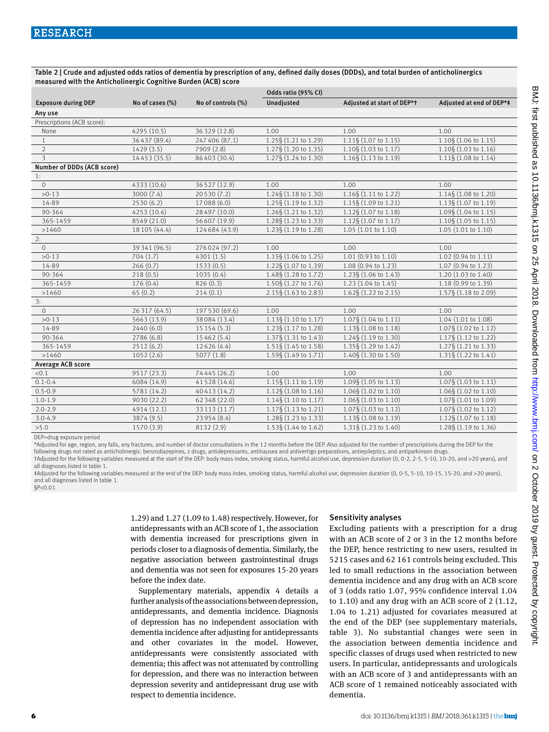Table 2 | Crude and adjusted odds ratios of dementia by prescription of any, defined daily doses (DDDs), and total burden of anticholinergics measured with the Anticholinergic Cognitive Burden (ACB) score

|                            |                 |                    | Odds ratio (95% CI)             |                                 |                          |  |
|----------------------------|-----------------|--------------------|---------------------------------|---------------------------------|--------------------------|--|
| <b>Exposure during DEP</b> | No of cases (%) | No of controls (%) | Unadjusted                      | Adjusted at start of DEP*t      | Adjusted at end of DEP*# |  |
| Any use                    |                 |                    |                                 |                                 |                          |  |
| Prescriptions (ACB score): |                 |                    |                                 |                                 |                          |  |
| None                       | 4295 (10.5)     | 36 329 (12.8)      | 1.00                            | 1.00                            | 1.00                     |  |
| $\mathbf{1}$               | 36437 (89.4)    | 247 406 (87.1)     | 1.25§ (1.21 to 1.29)            | 1.11§ (1.07 to 1.15)            | 1.10§ (1.06 to 1.15)     |  |
| $\overline{2}$             | 1429(3.5)       | 7909 (2.8)         | 1.27§ (1.20 to 1.35)            | $1.10\$ (1.03 to 1.17)          | 1.10§ (1.03 to 1.16)     |  |
| $\overline{\mathbf{3}}$    | 14453 (35.5)    | 86403 (30.4)       | 1.27§ (1.24 to 1.30)            | 1.16§ (1.13 to 1.19)            | 1.11§ (1.08 to 1.14)     |  |
| Number of DDDs (ACB score) |                 |                    |                                 |                                 |                          |  |
| 1:                         |                 |                    |                                 |                                 |                          |  |
| $\circ$                    | 4333 (10.6)     | 36527 (12.9)       | 1.00                            | 1.00                            | 1.00                     |  |
| $>0-13$                    | 3000 (7.4)      | 20530 (7.2)        | 1.24§ (1.18 to 1.30)            | 1.16§ (1.11 to 1.22)            | 1.14§ (1.08 to 1.20)     |  |
| 14-89                      | 2530 (6.2)      | 17088 (6.0)        | 1.25§ (1.19 to 1.32)            | 1.15§ (1.09 to 1.21)            | 1.13§ (1.07 to 1.19)     |  |
| 90-364                     | 4253 (10.4)     | 28 497 (10.0)      | 1.26§ (1.21 to 1.32)            | 1.12§ (1.07 to 1.18)            | 1.09§ (1.04 to 1.15)     |  |
| 365-1459                   | 8549 (21.0)     | 56 607 (19.9)      | 1.28§ (1.23 to 1.33)            | 1.12§ (1.07 to 1.17)            | 1.10§ (1.05 to 1.15)     |  |
| >1460                      | 18 105 (44.4)   | 124684 (43.9)      | 1.23§ (1.19 to 1.28)            | 1.05 (1.01 to 1.10)             | 1.05 (1.01 to 1.10)      |  |
| 2:                         |                 |                    |                                 |                                 |                          |  |
| $\circ$                    | 39 341 (96.5)   | 276024 (97.2)      | 1.00                            | 1.00                            | 1.00                     |  |
| $>0-13$                    | 704(1.7)        | 4301 (1.5)         | 1.15§ (1.06 to 1.25)            | 1.01 (0.93 to 1.10)             | 1.02 (0.94 to 1.11)      |  |
| 14-89                      | 266(0.7)        | 1533(0.5)          | 1.22§ (1.07 to 1.39)            | 1.08 (0.94 to 1.23)             | 1.07 (0.94 to 1.23)      |  |
| 90-364                     | 218(0.5)        | 1035(0.4)          | 1.48§ (1.28 to 1.72)            | 1.23§ (1.06 to 1.43)            | 1.20 (1.03 to 1.40)      |  |
| 365-1459                   | 176(0.4)        | 826(0.3)           | 1.50§ (1.27 to 1.76)            | 1.23 (1.04 to 1.45)             | 1.18 (0.99 to 1.39)      |  |
| >1460                      | 65(0.2)         | 214(0.1)           | 2.15§ (1.63 to 2.83)            | $1.62\S(1.22 \text{ to } 2.15)$ | 1.57§ (1.18 to 2.09)     |  |
| 3:                         |                 |                    |                                 |                                 |                          |  |
| $\circ$                    | 26317 (64.5)    | 197 530 (69.6)     | 1.00                            | 1.00                            | 1.00                     |  |
| $>0-13$                    | 5663 (13.9)     | 38084 (13.4)       | 1.13§ (1.10 to 1.17)            | 1.07§ (1.04 to 1.11)            | 1.04 (1.01 to 1.08)      |  |
| 14-89                      | 2440 (6.0)      | 15 15 4 (5.3)      | 1.23§ (1.17 to 1.28)            | $1.13\S(1.08 \text{ to } 1.18)$ | 1.07§ (1.02 to 1.12)     |  |
| 90-364                     | 2786 (6.8)      | 15462 (5.4)        | 1.37§ (1.31 to 1.43)            | 1.24§ (1.19 to 1.30)            | 1.17§ (1.12 to 1.22)     |  |
| 365-1459                   | 2512(6.2)       | 12626 (4.4)        | $1.51\S(1.45 \text{ to } 1.58)$ | 1.35§ (1.29 to 1.42)            | 1.27§ (1.21 to 1.33)     |  |
| >1460                      | 1052(2.6)       | 5077(1.8)          | 1.59§ (1.49 to 1.71)            | 1.40§ (1.30 to 1.50)            | 1.31§ (1.22 to 1.41)     |  |
| <b>Average ACB score</b>   |                 |                    |                                 |                                 |                          |  |
| < 0.1                      | 9517 (23.3)     | 74445 (26.2)       | 1.00                            | 1.00                            | 1.00                     |  |
| $0.1 - 0.4$                | 6084 (14.9)     | 41528 (14.6)       | 1.15§ (1.11 to 1.19)            | 1.09§ (1.05 to 1.13)            | 1.07§ (1.03 to 1.11)     |  |
| $0.5 - 0.9$                | 5781 (14.2)     | 40 413 (14.2)      | 1.12§ (1.08 to 1.16)            | 1.06§ (1.02 to 1.10)            | 1.06§ (1.02 to 1.10)     |  |
| $1.0 - 1.9$                | 9030 (22.2)     | 62 348 (22.0)      | $1.14\S(1.10 \text{ to } 1.17)$ | 1.06§ (1.03 to 1.10)            | 1.07§ (1.01 to 1.09)     |  |
| $2.0 - 2.9$                | 4914 (12.1)     | 33 113 (11.7)      | 1.17§ (1.13 to 1.21)            | 1.07§ (1.03 to 1.12)            | 1.07§ (1.02 to 1.12)     |  |
| $3.0 - 4.9$                | 3874 (9.5)      | 23954 (8.4)        | 1.28§ (1.23 to 1.33)            | 1.13§ (1.08 to 1.19)            | 1.12§ (1.07 to 1.18)     |  |
| >5.0                       | 1570 (3.9)      | 8132 (2.9)         | 1.53§ (1.44 to 1.62)            | 1.31§ (1.23 to 1.40)            | 1.28§ (1.19 to 1.36)     |  |
|                            |                 |                    |                                 |                                 |                          |  |

DEP=drug exposure period

\*Adjusted for age, region, any falls, any fractures, and number of doctor consultations in the 12 months before the DEP. Also adjusted for the number of prescriptions during the DEP for the following drugs not rated as anticholinergic: benzodiazepines, z drugs, antidepressants, antinausea and antivertigo preparations, antiepileptics, and antiparkinson drugs

†Adjusted for the following variables measured at the start of the DEP: body mass index, smoking status, harmful alcohol use, depression duration (0, 0-2, 2-5, 5-10, 10-20, and >20 years), and all diagnoses listed in table 1.

‡Adjusted for the following variables measured at the end of the DEP: body mass index, smoking status, harmful alcohol use, depression duration (0, 0-5, 5-10, 10-15, 15-20, and >20 years), and all diagnoses listed in table 1. §P<0.01.

> 1.29) and 1.27 (1.09 to 1.48) respectively. However, for antidepressants with an ACB score of 1, the association with dementia increased for prescriptions given in periods closer to a diagnosis of dementia. Similarly, the negative association between gastrointestinal drugs and dementia was not seen for exposures 15-20 years before the index date.

> Supplementary materials, appendix 4 details a further analysis of the associations between depression, antidepressants, and dementia incidence. Diagnosis of depression has no independent association with dementia incidence after adjusting for antidepressants and other covariates in the model. However, antidepressants were consistently associated with dementia; this affect was not attenuated by controlling for depression, and there was no interaction between depression severity and antidepressant drug use with respect to dementia incidence.

## Sensitivity analyses

Excluding patients with a prescription for a drug with an ACB score of 2 or 3 in the 12 months before the DEP, hence restricting to new users, resulted in 5215 cases and 62 161 controls being excluded. This led to small reductions in the association between dementia incidence and any drug with an ACB score of 3 (odds ratio 1.07, 95% confidence interval 1.04 to 1.10) and any drug with an ACB score of 2 (1.12, 1.04 to 1.21) adjusted for covariates measured at the end of the DEP (see supplementary materials, table 3). No substantial changes were seen in the association between dementia incidence and specific classes of drugs used when restricted to new users. In particular, antidepressants and urologicals with an ACB score of 3 and antidepressants with an ACB score of 1 remained noticeably associated with dementia.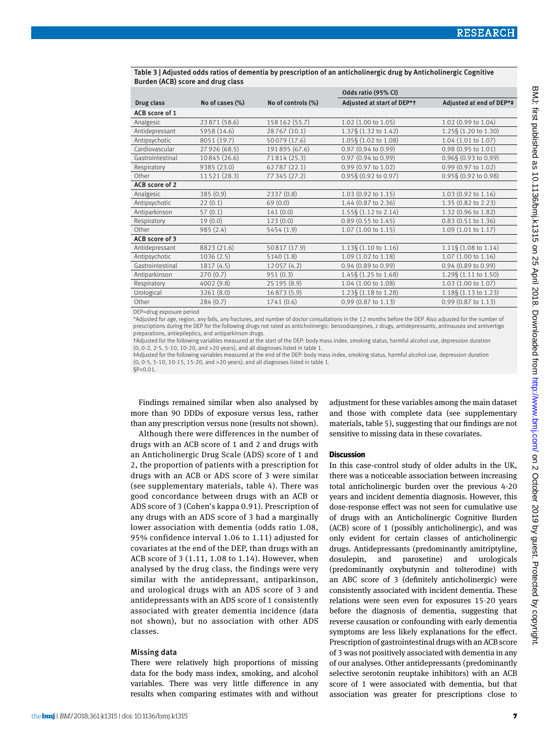|                                  |                 |                    | Odds ratio (95% CI)             |                                 |
|----------------------------------|-----------------|--------------------|---------------------------------|---------------------------------|
| Drug class                       | No of cases (%) | No of controls (%) | Adjusted at start of DEP*t      | Adjusted at end of DEP*#        |
| ACB score of 1                   |                 |                    |                                 |                                 |
| Analgesic                        | 23871 (58.6)    | 158 162 (55.7)     | 1.02 (1.00 to 1.05)             | 1.02 (0.99 to 1.04)             |
| Antidepressant                   | 5958 (14.6)     | 28767 (10.1)       | 1.37§ (1.32 to 1.42)            | 1.25§ (1.20 to 1.30)            |
| Antipsychotic                    | 8051 (19.7)     | 50079 (17.6)       | 1.05§ (1.02 to 1.08)            | 1.04 (1.01 to 1.07)             |
| Cardiovascular                   | 27 926 (68.5)   | 191895 (67.6)      | 0.97 (0.94 to 0.99)             | 0.98 (0.95 to 1.01)             |
| Gastrointestinal                 | 10845 (26.6)    | 71814 (25.3)       | 0.97 (0.94 to 0.99)             | $0.96\S(0.93 \text{ to } 0.99)$ |
| Respiratory                      | 9385 (23.0)     | 62787 (22.1)       | 0.99 (0.97 to 1.02)             | 0.99 (0.97 to 1.02)             |
| Other                            | 11521 (28.3)    | 77 345 (27.2)      | 0.95§ (0.92 to 0.97)            | 0.95§ (0.92 to 0.98)            |
| ACB score of 2                   |                 |                    |                                 |                                 |
| Analgesic                        | 385 (0.9)       | 2337 (0.8)         | 1.03 (0.92 to 1.15)             | 1.03 (0.92 to 1.16)             |
| Antipsychotic                    | 22(0.1)         | 69(0.0)            | 1.44 (0.87 to 2.36)             | 1.35 (0.82 to 2.23)             |
| Antiparkinson                    | 57(0.1)         | 141(0.0)           | $1.55\S(1.12 \text{ to } 2.14)$ | 1.32 (0.96 to 1.82)             |
| Respiratory                      | 19(0.0)         | 123(0.0)           | 0.89 (0.55 to 1.45)             | 0.83 (0.51 to 1.36)             |
| Other                            | 985 (2.4)       | 5454 (1.9)         | 1.07 (1.00 to 1.15)             | 1.09 (1.01 to 1.17)             |
| ACB score of 3                   |                 |                    |                                 |                                 |
| Antidepressant                   | 8823 (21.6)     | 50817 (17.9)       | 1.13§ (1.10 to 1.16)            | $1.11\$ (1.08 to 1.14)          |
| Antipsychotic                    | 1036(2.5)       | 5140 (1.8)         | 1.09 (1.02 to 1.18)             | 1.07 (1.00 to 1.16)             |
| Gastrointestinal                 | 1817 (4.5)      | 12057(4.2)         | 0.94 (0.89 to 0.99)             | 0.94 (0.89 to 0.99)             |
| Antiparkinson                    | 270(0.7)        | 951(0.3)           | 1.45§ (1.25 to 1.68)            | 1.29§ (1.11 to 1.50)            |
| Respiratory                      | 4002 (9.8)      | 25 195 (8.9)       | 1.04 (1.00 to 1.08)             | 1.03 (1.00 to 1.07)             |
| Urological                       | 3261 (8.0)      | 16873 (5.9)        | 1.23§ (1.18 to 1.28)            | 1.18§ (1.13 to 1.23)            |
| Other                            | 284(0.7)        | 1741 (0.6)         | 0.99 (0.87 to 1.13)             | 0.99 (0.87 to 1.13)             |
| DED alarma accordance a catalala |                 |                    |                                 |                                 |

#### Table 3 | Adjusted odds ratios of dementia by prescription of an anticholinergic drug by Anticholinergic Cognitive Burden (ACB) score and drug class

drug exposure period:

\*Adjusted for age, region, any falls, any fractures, and number of doctor consultations in the 12 months before the DEP. Also adjusted for the number of prescriptions during the DEP for the following drugs not rated as anticholinergic: benzodiazepines, z drugs, antidepressants, antinausea and antivertigo preparations, antiepileptics, and antiparkinson drugs.

†Adjusted for the following variables measured at the start of the DEP: body mass index, smoking status, harmful alcohol use, depression duration (0, 0-2, 2-5, 5-10, 10-20, and >20 years), and all diagnoses listed in table 1.

‡Adjusted for the following variables measured at the end of the DEP: body mass index, smoking status, harmful alcohol use, depression duration (0, 0-5, 5-10, 10-15, 15-20, and >20 years), and all diagnoses listed in table 1.

§P<0.01.

Findings remained similar when also analysed by more than 90 DDDs of exposure versus less, rather than any prescription versus none (results not shown).

Although there were differences in the number of drugs with an ACB score of 1 and 2 and drugs with an Anticholinergic Drug Scale (ADS) score of 1 and 2, the proportion of patients with a prescription for drugs with an ACB or ADS score of 3 were similar (see supplementary materials, table 4). There was good concordance between drugs with an ACB or ADS score of 3 (Cohen's kappa 0.91). Prescription of any drugs with an ADS score of 3 had a marginally lower association with dementia (odds ratio 1.08, 95% confidence interval 1.06 to 1.11) adjusted for covariates at the end of the DEP, than drugs with an ACB score of 3 (1.11, 1.08 to 1.14). However, when analysed by the drug class, the findings were very similar with the antidepressant, antiparkinson, and urological drugs with an ADS score of 3 and antidepressants with an ADS score of 1 consistently associated with greater dementia incidence (data not shown), but no association with other ADS classes.

#### Missing data

There were relatively high proportions of missing data for the body mass index, smoking, and alcohol variables. There was very little difference in any results when comparing estimates with and without adjustment for these variables among the main dataset and those with complete data (see supplementary materials, table 5), suggesting that our findings are not sensitive to missing data in these covariates.

#### **Discussion**

In this case-control study of older adults in the UK, there was a noticeable association between increasing total anticholinergic burden over the previous 4-20 years and incident dementia diagnosis. However, this dose-response effect was not seen for cumulative use of drugs with an Anticholinergic Cognitive Burden (ACB) score of 1 (possibly anticholinergic), and was only evident for certain classes of anticholinergic drugs. Antidepressants (predominantly amitriptyline, dosulepin, and paroxetine) and urologicals (predominantly oxybutynin and tolterodine) with an ABC score of 3 (definitely anticholinergic) were consistently associated with incident dementia. These relations were seen even for exposures 15-20 years before the diagnosis of dementia, suggesting that reverse causation or confounding with early dementia symptoms are less likely explanations for the effect. Prescription of gastrointestinal drugs with an ACB score of 3 was not positively associated with dementia in any of our analyses. Other antidepressants (predominantly selective serotonin reuptake inhibitors) with an ACB score of 1 were associated with dementia, but that association was greater for prescriptions close to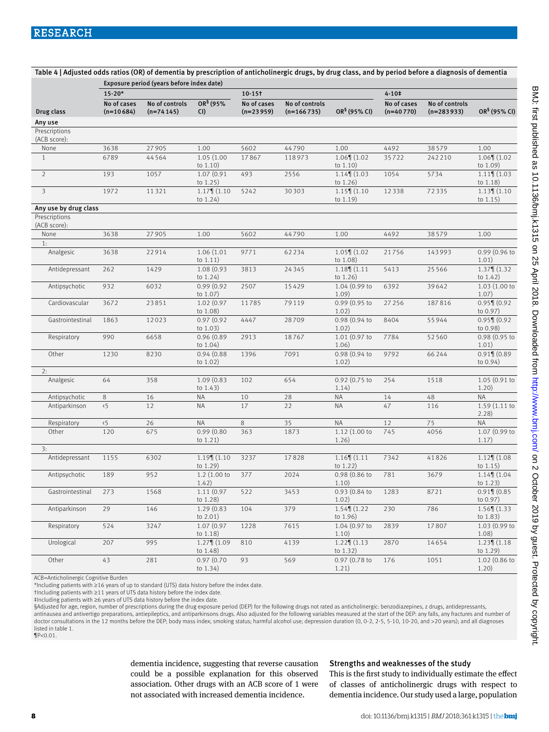|                               | Exposure period (years before index date) |                               |                              |                            |                                |                                |                            |                                |                                  |
|-------------------------------|-------------------------------------------|-------------------------------|------------------------------|----------------------------|--------------------------------|--------------------------------|----------------------------|--------------------------------|----------------------------------|
|                               | $15 - 20*$                                |                               |                              | $10 - 15$                  |                                |                                | $4 - 10+$                  |                                |                                  |
| Drug class                    | No of cases<br>$(n=10684)$                | No of controls<br>$(n=74145)$ | OR <sup>§</sup> (95%<br>CI)  | No of cases<br>$(n=23959)$ | No of controls<br>$(n=166735)$ | OR <sup>§</sup> (95% CI)       | No of cases<br>$(n=40770)$ | No of controls<br>$(n=283933)$ | OR <sup>§</sup> (95% CI)         |
| Any use                       |                                           |                               |                              |                            |                                |                                |                            |                                |                                  |
| Prescriptions<br>(ACB score): |                                           |                               |                              |                            |                                |                                |                            |                                |                                  |
| None                          | 3638                                      | 27905                         | 1.00                         | 5602                       | 44790                          | 1.00                           | 4492                       | 38579                          | 1.00                             |
| $\mathbf{1}$                  | 6789                                      | 44564                         | 1.05 (1.00<br>to $1.10$ )    | 17867                      | 118973                         | $1.06$ (1.02)<br>to $1.10)$    | 35722                      | 242210                         | $1.06$ (1.02)<br>to $1.09$ )     |
| $\overline{2}$                | 193                                       | 1057                          | 1.07 (0.91)<br>to 1.25)      | 493                        | 2556                           | $1.14$ (1.03)<br>to $1.26$ )   | 1054                       | 5734                           | $1.11$   $(1.03)$<br>to $1.18$ ) |
| $\overline{\mathbf{3}}$       | 1972                                      | 11321                         | $1.17$   $(1.10$<br>to 1.24) | 5242                       | 30303                          | $1.15$ (1.10)<br>to $1.19$ )   | 12338                      | 72335                          | $1.13$ (1.10)<br>to $1.15)$      |
| Any use by drug class         |                                           |                               |                              |                            |                                |                                |                            |                                |                                  |
| Prescriptions<br>(ACB score): |                                           |                               |                              |                            |                                |                                |                            |                                |                                  |
| None<br>1:                    | 3638                                      | 27905                         | 1.00                         | 5602                       | 44790                          | 1.00                           | 4492                       | 38579                          | 1.00                             |
| Analgesic                     | 3638                                      | 22914                         | 1.06 (1.01<br>to $1.11)$     | 9771                       | 62234                          | $1.05$ (1.02<br>to 1.08)       | 21756                      | 143993                         | 0.99 (0.96 to<br>1.01)           |
| Antidepressant                | 262                                       | 1429                          | 1.08 (0.93<br>to 1.24)       | 3813                       | 24345                          | $1.18$ (1.11)<br>to $1.26$ )   | 5413                       | 25566                          | $1.37$ (1.32)<br>to $1.42)$      |
| Antipsychotic                 | 932                                       | 6032                          | 0.99(0.92)<br>to 1.07)       | 2507                       | 15429                          | 1.04 (0.99 to<br>1.09)         | 6392                       | 39642                          | 1.03(1.00 to<br>1.07)            |
| Cardiovascular                | 3672                                      | 23851                         | 1.02 (0.97<br>to 1.08)       | 11785                      | 79119                          | 0.99 (0.95 to<br>1.02)         | 27 2 5 6                   | 187816                         | $0.95$ 1 $(0.92)$<br>to 0.97)    |
| Gastrointestinal              | 1863                                      | 12023                         | 0.97(0.92)<br>to 1.03)       | 4447                       | 28709                          | 0.98 (0.94 to<br>1.02)         | 8404                       | 55944                          | $0.95$ (0.92<br>to 0.98)         |
| Respiratory                   | 990                                       | 6658                          | 0.96(0.89)<br>to $1.04)$     | 2913                       | 18767                          | 1.01 (0.97 to<br>1.06)         | 7784                       | 52560                          | 0.98 (0.95 to<br>1.01)           |
| Other                         | 1230                                      | 8230                          | 0.94(0.88)<br>to $1.02$ )    | 1396                       | 7091                           | 0.98 (0.94 to<br>1.02)         | 9792                       | 66244                          | $0.91$ (0.89<br>to $0.94$ )      |
| 2:                            |                                           |                               |                              |                            |                                |                                |                            |                                |                                  |
| Analgesic                     | 64                                        | 358                           | 1.09 (0.83)<br>to $1.43)$    | 102                        | 654                            | $0.92$ (0.75 to<br>1.14)       | 254                        | 1518                           | 1.05(0.91)<br>1.20)              |
| Antipsychotic                 | 8                                         | 16                            | <b>NA</b>                    | 10                         | 28                             | <b>NA</b>                      | 14                         | 48                             | <b>NA</b>                        |
| Antiparkinson                 | 5 <sub>5</sub>                            | 12                            | ΝA                           | 17                         | 22                             | ΝA                             | 47                         | 116                            | 1.59(1.11)<br>2.28)              |
| Respiratory                   | $\langle 5 \rangle$                       | 26                            | <b>NA</b>                    | 8                          | 35                             | <b>NA</b>                      | 12                         | 75                             | <b>NA</b>                        |
| Other                         | 120                                       | 675                           | 0.99(0.80)<br>to $1.21$ )    | 363                        | 1873                           | 1.12(1.00 to<br>1.26)          | 745                        | 4056                           | 1.07 (0.99 to<br>1.17)           |
| 3:                            |                                           |                               |                              |                            |                                |                                |                            |                                |                                  |
| Antidepressant                | 1155                                      | 6302                          | $1.19$   $(1.10$<br>to 1.29) | 3237                       | 17828                          | $1.16$ $(1.11)$<br>to $1.22$ ) | 7342                       | 41826                          | $1.12$ (1.08)<br>to $1.15)$      |
| Antipsychotic                 | 189                                       | 952                           | 1.2 (1.00 to<br>1.42)        | 377                        | 2024                           | 0.98 (0.86 to<br>1.10)         | 781                        | 3679                           | $1.14$ ¶ $(1.04)$<br>to $1.23$ ) |
| Gastrointestinal              | 273                                       | 1568                          | 1.11 (0.97<br>to $1.28$ )    | 522                        | 3453                           | 0.93 (0.84 to<br>1.02)         | 1283                       | 8721                           | $0.91$ ¶ (0.85<br>to 0.97)       |
| Antiparkinson                 | 29                                        | 146                           | 1.29(0.83)<br>to $2.01$ )    | 104                        | 379                            | $1.54$ (1.22)<br>to $1.96$ )   | 230                        | 786                            | $1.56$ (1.33)<br>to $1.83$       |
| Respiratory                   | 524                                       | 3247                          | 1.07 (0.97<br>to $1.18$ )    | 1228                       | 7615                           | 1.04 (0.97 to<br>1.10)         | 2839                       | 17807                          | 1.03 (0.99 to<br>1.08)           |
| Urological                    | 207                                       | 995                           | $1.27$ (1.09<br>to 1.48)     | 810                        | 4139                           | $1.22$ (1.13)<br>to $1.32)$    | 2870                       | 14654                          | $1.23$ (1.18)<br>to 1.29)        |
| Other                         | 43                                        | 281                           | 0.97(0.70)<br>to $1.34)$     | 93                         | 569                            | 0.97 (0.78 to<br>1.21)         | 176                        | 1051                           | 1.02 (0.86 to<br>1.20)           |

Table 4 | Adjusted odds ratios (OR) of dementia by prescription of anticholinergic drugs, by drug class, and by period before a diagnosis of dementia

ACB=Anticholinergic Cognitive Burden

\*Including patients with ≥16 years of up to standard (UTS) data history before the index date.

†Including patients with ≥11 years of UTS data history before the index date.

‡Including patients with ≥6 years of UTS data history before the index date.

§Adjusted for age, region, number of prescriptions during the drug exposure period (DEP) for the following drugs not rated as anticholinergic: benzodiazepines, z drugs, antidepressants,

antinausea and antivertigo preparations, antiepileptics, and antiparkinsons drugs. Also adjusted for the following variables measured at the start of the DEP: any falls, any fractures and number of doctor consultations in the 12 months before the DEP; body mass index; smoking status; harmful alcohol use; depression duration (0, 0-2, 2-5, 5-10, 10-20, and >20 years); and all diagnoses listed in table 1.

¶P<0.01.

dementia incidence, suggesting that reverse causation could be a possible explanation for this observed association. Other drugs with an ACB score of 1 were not associated with increased dementia incidence.

## Strengths and weaknesses of the study

This is the first study to individually estimate the effect of classes of anticholinergic drugs with respect to dementia incidence. Our study used a large, population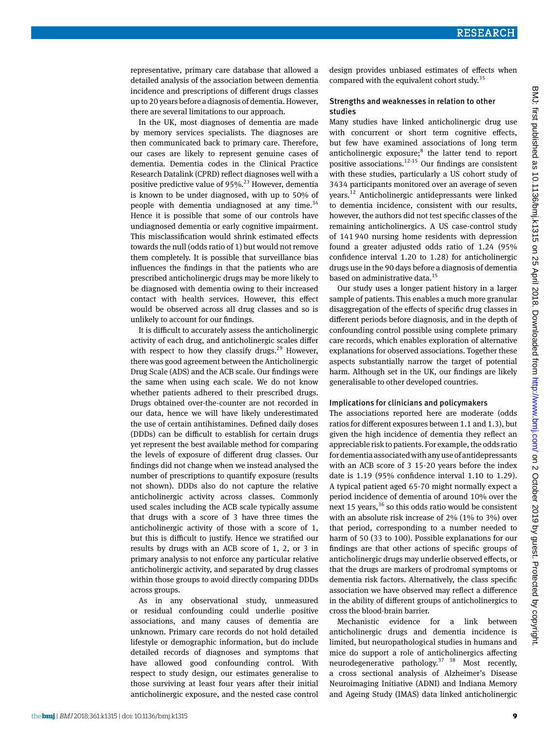representative, primary care database that allowed a detailed analysis of the association between dementia incidence and prescriptions of different drugs classes up to 20 years before a diagnosis of dementia. However, there are several limitations to our approach.

In the UK, most diagnoses of dementia are made by memory services specialists. The diagnoses are then communicated back to primary care. Therefore, our cases are likely to represent genuine cases of dementia. Dementia codes in the Clinical Practice Research Datalink (CPRD) reflect diagnoses well with a positive predictive value of  $95\%$ <sup>23</sup> However, dementia is known to be under diagnosed, with up to 50% of people with dementia undiagnosed at any time.<sup>34</sup> Hence it is possible that some of our controls have undiagnosed dementia or early cognitive impairment. This misclassification would shrink estimated effects towards the null (odds ratio of 1) but would not remove them completely. It is possible that surveillance bias influences the findings in that the patients who are prescribed anticholinergic drugs may be more likely to be diagnosed with dementia owing to their increased contact with health services. However, this effect would be observed across all drug classes and so is unlikely to account for our findings.

It is difficult to accurately assess the anticholinergic activity of each drug, and anticholinergic scales differ with respect to how they classify drugs.<sup>29</sup> However, there was good agreement between the Anticholinergic Drug Scale (ADS) and the ACB scale. Our findings were the same when using each scale. We do not know whether patients adhered to their prescribed drugs. Drugs obtained over-the-counter are not recorded in our data, hence we will have likely underestimated the use of certain antihistamines. Defined daily doses (DDDs) can be difficult to establish for certain drugs yet represent the best available method for comparing the levels of exposure of different drug classes. Our findings did not change when we instead analysed the number of prescriptions to quantify exposure (results not shown). DDDs also do not capture the relative anticholinergic activity across classes. Commonly used scales including the ACB scale typically assume that drugs with a score of 3 have three times the anticholinergic activity of those with a score of 1, but this is difficult to justify. Hence we stratified our results by drugs with an ACB score of 1, 2, or 3 in primary analysis to not enforce any particular relative anticholinergic activity, and separated by drug classes within those groups to avoid directly comparing DDDs across groups.

As in any observational study, unmeasured or residual confounding could underlie positive associations, and many causes of dementia are unknown. Primary care records do not hold detailed lifestyle or demographic information, but do include detailed records of diagnoses and symptoms that have allowed good confounding control. With respect to study design, our estimates generalise to those surviving at least four years after their initial anticholinergic exposure, and the nested case control design provides unbiased estimates of effects when compared with the equivalent cohort study.<sup>35</sup>

#### Strengths and weaknesses in relation to other studies

Many studies have linked anticholinergic drug use with concurrent or short term cognitive effects, but few have examined associations of long term anticholinergic exposure;<sup>8</sup> the latter tend to report positive associations.<sup>12-15</sup> Our findings are consistent with these studies, particularly a US cohort study of 3434 participants monitored over an average of seven years.12 Anticholinergic antidepressants were linked to dementia incidence, consistent with our results, however, the authors did not test specific classes of the remaining anticholinergics. A US case-control study of 141 940 nursing home residents with depression found a greater adjusted odds ratio of 1.24 (95% confidence interval 1.20 to 1.28) for anticholinergic drugs use in the 90 days before a diagnosis of dementia based on administrative data.<sup>15</sup>

Our study uses a longer patient history in a larger sample of patients. This enables a much more granular disaggregation of the effects of specific drug classes in different periods before diagnosis, and in the depth of confounding control possible using complete primary care records, which enables exploration of alternative explanations for observed associations. Together these aspects substantially narrow the target of potential harm. Although set in the UK, our findings are likely generalisable to other developed countries.

#### Implications for clinicians and policymakers

The associations reported here are moderate (odds ratios for different exposures between 1.1 and 1.3), but given the high incidence of dementia they reflect an appreciable risk to patients. For example, the odds ratio for dementia associated with any use of antidepressants with an ACB score of 3 15-20 years before the index date is 1.19 (95% confidence interval 1.10 to 1.29). A typical patient aged 65-70 might normally expect a period incidence of dementia of around 10% over the next 15 years,  $36$  so this odds ratio would be consistent with an absolute risk increase of 2% (1% to 3%) over that period, corresponding to a number needed to harm of 50 (33 to 100). Possible explanations for our findings are that other actions of specific groups of anticholinergic drugs may underlie observed effects, or that the drugs are markers of prodromal symptoms or dementia risk factors. Alternatively, the class specific association we have observed may reflect a difference in the ability of different groups of anticholinergics to cross the blood-brain barrier.

Mechanistic evidence for a link between anticholinergic drugs and dementia incidence is limited, but neuropathological studies in humans and mice do support a role of anticholinergics affecting neurodegenerative pathology.37 38 Most recently, a cross sectional analysis of Alzheimer's Disease Neuroimaging Initiative (ADNI) and Indiana Memory and Ageing Study (IMAS) data linked anticholinergic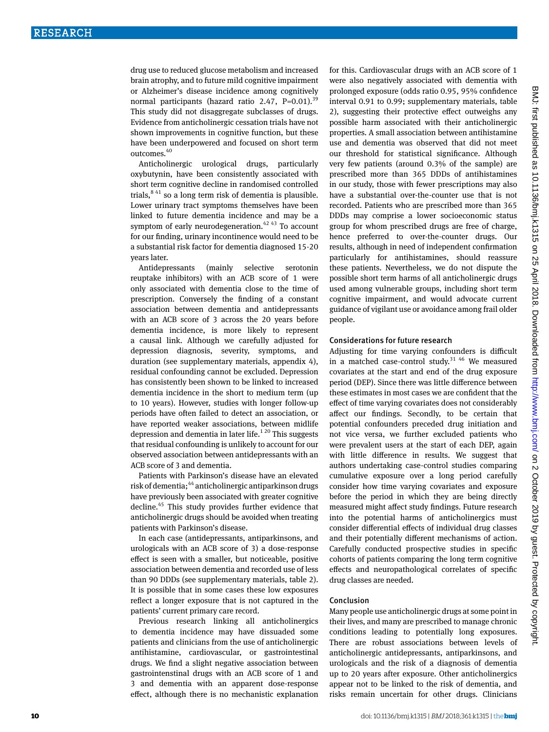drug use to reduced glucose metabolism and increased brain atrophy, and to future mild cognitive impairment or Alzheimer's disease incidence among cognitively normal participants (hazard ratio 2.47,  $P=0.01$ ).<sup>39</sup> This study did not disaggregate subclasses of drugs. Evidence from anticholinergic cessation trials have not shown improvements in cognitive function, but these have been underpowered and focused on short term outcomes.40

Anticholinergic urological drugs, particularly oxybutynin, have been consistently associated with short term cognitive decline in randomised controlled trials, $8^{41}$  so a long term risk of dementia is plausible. Lower urinary tract symptoms themselves have been linked to future dementia incidence and may be a symptom of early neurodegeneration.<sup>42 43</sup> To account for our finding, urinary incontinence would need to be a substantial risk factor for dementia diagnosed 15-20 years later.

Antidepressants (mainly selective serotonin reuptake inhibitors) with an ACB score of 1 were only associated with dementia close to the time of prescription. Conversely the finding of a constant association between dementia and antidepressants with an ACB score of 3 across the 20 years before dementia incidence, is more likely to represent a causal link. Although we carefully adjusted for depression diagnosis, severity, symptoms, and duration (see supplementary materials, appendix 4), residual confounding cannot be excluded. Depression has consistently been shown to be linked to increased dementia incidence in the short to medium term (up to 10 years). However, studies with longer follow-up periods have often failed to detect an association, or have reported weaker associations, between midlife depression and dementia in later life.<sup>1 20</sup> This suggests that residual confounding is unlikely to account for our observed association between antidepressants with an ACB score of 3 and dementia.

Patients with Parkinson's disease have an elevated risk of dementia;<sup>44</sup> anticholinergic antiparkinson drugs have previously been associated with greater cognitive decline.45 This study provides further evidence that anticholinergic drugs should be avoided when treating patients with Parkinson's disease.

In each case (antidepressants, antiparkinsons, and urologicals with an ACB score of 3) a dose-response effect is seen with a smaller, but noticeable, positive association between dementia and recorded use of less than 90 DDDs (see supplementary materials, table 2). It is possible that in some cases these low exposures reflect a longer exposure that is not captured in the patients' current primary care record.

Previous research linking all anticholinergics to dementia incidence may have dissuaded some patients and clinicians from the use of anticholinergic antihistamine, cardiovascular, or gastrointestinal drugs. We find a slight negative association between gastrointenstinal drugs with an ACB score of 1 and 3 and dementia with an apparent dose-response effect, although there is no mechanistic explanation

for this. Cardiovascular drugs with an ACB score of 1 were also negatively associated with dementia with prolonged exposure (odds ratio 0.95, 95% confidence interval 0.91 to 0.99; supplementary materials, table 2), suggesting their protective effect outweighs any possible harm associated with their anticholinergic properties. A small association between antihistamine use and dementia was observed that did not meet our threshold for statistical significance. Although very few patients (around 0.3% of the sample) are prescribed more than 365 DDDs of antihistamines in our study, those with fewer prescriptions may also have a substantial over-the-counter use that is not recorded. Patients who are prescribed more than 365 DDDs may comprise a lower socioeconomic status group for whom prescribed drugs are free of charge, hence preferred to over-the-counter drugs. Our results, although in need of independent confirmation particularly for antihistamines, should reassure these patients. Nevertheless, we do not dispute the possible short term harms of all anticholinergic drugs used among vulnerable groups, including short term cognitive impairment, and would advocate current guidance of vigilant use or avoidance among frail older people.

#### Considerations for future research

Adjusting for time varying confounders is difficult in a matched case-control study.<sup>31 46</sup> We measured covariates at the start and end of the drug exposure period (DEP). Since there was little difference between these estimates in most cases we are confident that the effect of time varying covariates does not considerably affect our findings. Secondly, to be certain that potential confounders preceded drug initiation and not vice versa, we further excluded patients who were prevalent users at the start of each DEP, again with little difference in results. We suggest that authors undertaking case-control studies comparing cumulative exposure over a long period carefully consider how time varying covariates and exposure before the period in which they are being directly measured might affect study findings. Future research into the potential harms of anticholinergics must consider differential effects of individual drug classes and their potentially different mechanisms of action. Carefully conducted prospective studies in specific cohorts of patients comparing the long term cognitive effects and neuropathological correlates of specific drug classes are needed.

#### Conclusion

Many people use anticholinergic drugs at some point in their lives, and many are prescribed to manage chronic conditions leading to potentially long exposures. There are robust associations between levels of anticholinergic antidepressants, antiparkinsons, and urologicals and the risk of a diagnosis of dementia up to 20 years after exposure. Other anticholinergics appear not to be linked to the risk of dementia, and risks remain uncertain for other drugs. Clinicians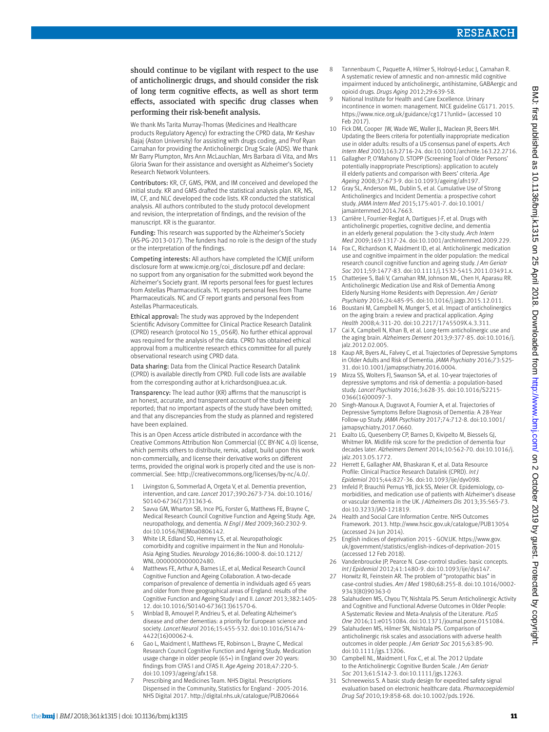should continue to be vigilant with respect to the use of anticholinergic drugs, and should consider the risk of long term cognitive effects, as well as short term effects, associated with specific drug classes when performing their risk-benefit analysis.

We thank Ms Tarita Murray-Thomas (Medicines and Healthcare products Regulatory Agency) for extracting the CPRD data, Mr Keshav Bajaj (Aston University) for assisting with drugs coding, and Prof Ryan Carnahan for providing the Anticholinergic Drug Scale (ADS). We thank Mr Barry Plumpton, Mrs Ann McLauchlan, Mrs Barbara di Vita, and Mrs Gloria Swan for their assistance and oversight as Alzheimer's Society Research Network Volunteers.

Contributors: KR, CF, GMS, PKM, and IM conceived and developed the initial study. KR and GMS drafted the statistical analysis plan. KR, NS, IM, CF, and NLC developed the code lists. KR conducted the statistical analysis. All authors contributed to the study protocol development and revision, the interpretation of findings, and the revision of the manuscript. KR is the guarantor.

Funding: This research was supported by the Alzheimer's Society (AS-PG-2013-017). The funders had no role is the design of the study or the interpretation of the findings.

Competing interests: All authors have completed the ICMJE uniform disclosure form at [www.icmje.org/coi\\_disclosure.pdf](http://www.icmje.org/coi_disclosure.pdf) and declare: no support from any organisation for the submitted work beyond the Alzheimer's Society grant. IM reports personal fees for guest lectures from Astellas Pharmaceuticals. YL reports personal fees from Thame Pharmaceuticals. NC and CF report grants and personal fees from Astellas Pharmaceuticals.

Ethical approval: The study was approved by the Independent Scientific Advisory Committee for Clinical Practice Research Datalink (CPRD) research (protocol No 15\_056R). No further ethical approval was required for the analysis of the data. CPRD has obtained ethical approval from a multicentre research ethics committee for all purely observational research using CPRD data.

Data sharing: Data from the Clinical Practice Research Datalink (CPRD) is available directly from CPRD. Full code lists are available from the corresponding author at k.richardson@uea.ac.uk.

Transparency: The lead author (KR) affirms that the manuscript is an honest, accurate, and transparent account of the study being reported; that no important aspects of the study have been omitted; and that any discrepancies from the study as planned and registered have been explained.

This is an Open Access article distributed in accordance with the Creative Commons Attribution Non Commercial (CC BY-NC 4.0) license, which permits others to distribute, remix, adapt, build upon this work non-commercially, and license their derivative works on different terms, provided the original work is properly cited and the use is noncommercial. See: [http://creativecommons.org/licenses/by-nc/4.0/.](http://creativecommons.org/licenses/by-nc/4.0/)

- 1 Livingston G, Sommerlad A, Orgeta V, et al. Dementia prevention, intervention, and care. *Lancet* 2017;390:2673-734. doi:10.1016/ S0140-6736(17)31363-6.
- 2 Savva GM, Wharton SB, Ince PG, Forster G, Matthews FE, Brayne C, Medical Research Council Cognitive Function and Ageing Study. Age, neuropathology, and dementia. *N Engl J Med* 2009;360:2302-9. doi:10.1056/NEJMoa0806142.
- White LR, Edland SD, Hemmy LS, et al. Neuropathologic comorbidity and cognitive impairment in the Nun and Honolulu-Asia Aging Studies. *Neurology* 2016;86:1000-8. doi:10.1212/ WNL.0000000000002480.
- 4 Matthews FE, Arthur A, Barnes LE, et al, Medical Research Council Cognitive Function and Ageing Collaboration. A two-decade comparison of prevalence of dementia in individuals aged 65 years and older from three geographical areas of England: results of the Cognitive Function and Ageing Study I and II. *Lancet* 2013;382:1405- 12. doi:10.1016/S0140-6736(13)61570-6.
- 5 Winblad B, Amouyel P, Andrieu S, et al. Defeating Alzheimer's disease and other dementias: a priority for European science and society. *Lancet Neurol* 2016;15:455-532. doi:10.1016/S1474- 4422(16)00062-4.
- 6 Gao L, Maidment I, Matthews FE, Robinson L, Brayne C, Medical Research Council Cognitive Function and Ageing Study. Medication usage change in older people (65+) in England over 20 years: findings from CFAS I and CFAS II. *Age Ageing* 2018;47:220-5. doi:10.1093/ageing/afx158.
- Prescribing and Medicines Team. NHS Digital. Prescriptions Dispensed in the Community, Statistics for England - 2005-2016. NHS Digital 2017.<http://digital.nhs.uk/catalogue/PUB20664>
- 8 Tannenbaum C, Paquette A, Hilmer S, Holroyd-Leduc J, Carnahan R. A systematic review of amnestic and non-amnestic mild cognitive impairment induced by anticholinergic, antihistamine, GABAergic and opioid drugs. *Drugs Aging* 2012;29:639-58.
- National Institute for Health and Care Excellence. Urinary incontinence in women: management. NICE guideline CG171. 2015. https://www.nice.org.uk/guidance/cg171?unlid= (accessed 10 Feb 2017).
- 10 Fick DM, Cooper JW, Wade WE, Waller JL, Maclean JR, Beers MH. Updating the Beers criteria for potentially inappropriate medication use in older adults: results of a US consensus panel of experts. *Arch Intern Med* 2003;163:2716-24. doi:10.1001/archinte.163.22.2716.
- 11 Gallagher P, O'Mahony D. STOPP (Screening Tool of Older Persons' potentially inappropriate Prescriptions): application to acutely ill elderly patients and comparison with Beers' criteria. *Age Ageing* 2008;37:673-9. doi:10.1093/ageing/afn197.
- 12 Gray SL, Anderson ML, Dublin S, et al. Cumulative Use of Strong Anticholinergics and Incident Dementia: a prospective cohort study. *JAMA Intern Med* 2015;175:401-7. doi:10.1001/ jamainternmed.2014.7663.
- 13 Carrière I, Fourrier-Reglat A, Dartigues J-F, et al. Drugs with anticholinergic properties, cognitive decline, and dementia in an elderly general population: the 3-city study. *Arch Intern Med* 2009;169:1317-24. doi:10.1001/archinternmed.2009.229.
- 14 Fox C, Richardson K, Maidment ID, et al. Anticholinergic medication use and cognitive impairment in the older population: the medical research council cognitive function and ageing study. *J Am Geriatr Soc* 2011;59:1477-83. doi:10.1111/j.1532-5415.2011.03491.x.
- 15 Chatterjee S, Bali V, Carnahan RM, Johnson ML, Chen H, Aparasu RR. Anticholinergic Medication Use and Risk of Dementia Among Elderly Nursing Home Residents with Depression. *Am J Geriatr Psychiatry* 2016;24:485-95. doi:10.1016/j.jagp.2015.12.011.
- 16 Boustani M, Campbell N, Munger S, et al. Impact of anticholinergics on the aging brain: a review and practical application. *Aging Health* 2008;4:311-20. doi:10.2217/1745509X.4.3.311.
- 17 Cai X, Campbell N, Khan B, et al. Long-term anticholinergic use and the aging brain. *Alzheimers Dement* 2013;9:377-85. doi:10.1016/j. jalz.2012.02.005.
- 18 Kaup AR, Byers AL, Falvey C, et al. Trajectories of Depressive Symptoms in Older Adults and Risk of Dementia. *JAMA Psychiatry* 2016;73:525- 31. doi:10.1001/jamapsychiatry.2016.0004.
- 19 Mirza SS, Wolters FJ, Swanson SA, et al. 10-year trajectories of depressive symptoms and risk of dementia: a population-based study. *Lancet Psychiatry* 2016;3:628-35. doi:10.1016/S2215- 0366(16)00097-3.
- 20 Singh-Manoux A, Dugravot A, Fournier A, et al. Trajectories of Depressive Symptoms Before Diagnosis of Dementia: A 28-Year Follow-up Study. *JAMA Psychiatry* 2017;74:712-8. doi:10.1001/ jamapsychiatry.2017.0660.
- 21 Exalto LG, Quesenberry CP, Barnes D, Kivipelto M, Biessels GJ, Whitmer RA. Midlife risk score for the prediction of dementia four decades later. *Alzheimers Dement* 2014;10:562-70. doi:10.1016/j. jalz.2013.05.1772.
- 22 Herrett E, Gallagher AM, Bhaskaran K, et al. Data Resource Profile: Clinical Practice Research Datalink (CPRD). *Int J Epidemiol* 2015;44:827-36. doi:10.1093/ije/dyv098.
- 23 Imfeld P, Brauchli Pernus YB, Jick SS, Meier CR. Epidemiology, comorbidities, and medication use of patients with Alzheimer's disease or vascular dementia in the UK. *J Alzheimers Dis* 2013;35:565-73. doi:10.3233/JAD-121819.
- 24 Health and Social Care Information Centre. NHS Outcomes Framework. 2013. <http://www.hscic.gov.uk/catalogue/PUB13054> (accessed 24 Jun 2014).
- 25 English indices of deprivation 2015 GOV.UK. [https://www.gov.](https://www.gov.uk/government/statistics/english-indices-of-deprivation-2015) [uk/government/statistics/english-indices-of-deprivation-2015](https://www.gov.uk/government/statistics/english-indices-of-deprivation-2015)  (accessed 12 Feb 2018).
- 26 Vandenbroucke JP, Pearce N. Case-control studies: basic concepts. *Int J Epidemiol* 2012;41:1480-9. doi:10.1093/ije/dys147.
- 27 Horwitz RI, Feinstein AR. The problem of "protopathic bias" in case-control studies. *Am J Med* 1980;68:255-8. doi:10.1016/0002- 9343(80)90363-0
- 28 Salahudeen MS, Chyou TY, Nishtala PS. Serum Anticholinergic Activity and Cognitive and Functional Adverse Outcomes in Older People: A Systematic Review and Meta-Analysis of the Literature. *PLoS One* 2016;11:e0151084. doi:10.1371/journal.pone.0151084.
- 29 Salahudeen MS, Hilmer SN, Nishtala PS. Comparison of anticholinergic risk scales and associations with adverse health outcomes in older people. *J Am Geriatr Soc* 2015;63:85-90. doi:10.1111/jgs.13206.
- 30 Campbell NL, Maidment I, Fox C, et al. The 2012 Update to the Anticholinergic Cognitive Burden Scale. *J Am Geriatr Soc* 2013;61:S142-3. doi:10.1111/jgs.12263.
- 31 Schneeweiss S. A basic study design for expedited safety signal evaluation based on electronic healthcare data. *Pharmacoepidemiol Drug Saf* 2010;19:858-68. doi:10.1002/pds.1926.